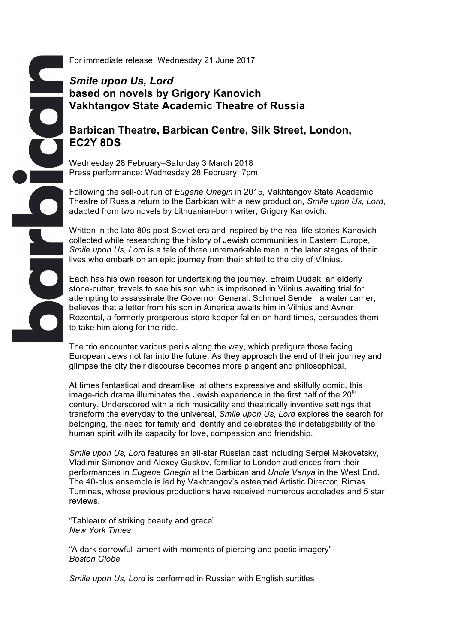For immediate release: Wednesday 21 June 2017

# *Smile upon Us, Lord* **based on novels by Grigory Kanovich Vakhtangov State Academic Theatre of Russia**

# **Barbican Theatre, Barbican Centre, Silk Street, London, EC2Y 8DS**

Wednesday 28 February–Saturday 3 March 2018 Press performance: Wednesday 28 February, 7pm

Following the sell-out run of *Eugene Onegin* in 2015, Vakhtangov State Academic Theatre of Russia return to the Barbican with a new production, *Smile upon Us, Lord*, adapted from two novels by Lithuanian-born writer, Grigory Kanovich.

Written in the late 80s post-Soviet era and inspired by the real-life stories Kanovich collected while researching the history of Jewish communities in Eastern Europe, *Smile upon Us, Lord* is a tale of three unremarkable men in the later stages of their lives who embark on an epic journey from their shtetl to the city of Vilnius.

Each has his own reason for undertaking the journey. Efraim Dudak, an elderly stone-cutter, travels to see his son who is imprisoned in Vilnius awaiting trial for attempting to assassinate the Governor General. Schmuel Sender, a water carrier, believes that a letter from his son in America awaits him in Vilnius and Avner Rozental, a formerly prosperous store keeper fallen on hard times, persuades them to take him along for the ride.

The trio encounter various perils along the way, which prefigure those facing European Jews not far into the future. As they approach the end of their journey and glimpse the city their discourse becomes more plangent and philosophical.

At times fantastical and dreamlike, at others expressive and skilfully comic, this image-rich drama illuminates the Jewish experience in the first half of the  $20<sup>th</sup>$ century. Underscored with a rich musicality and theatrically inventive settings that transform the everyday to the universal, *Smile upon Us, Lord* explores the search for belonging, the need for family and identity and celebrates the indefatigability of the human spirit with its capacity for love, compassion and friendship.

*Smile upon Us, Lord* features an all-star Russian cast including Sergei Makovetsky, Vladimir Simonov and Alexey Guskov, familiar to London audiences from their performances in *Eugene Onegin* at the Barbican and *Uncle Vanya* in the West End. The 40-plus ensemble is led by Vakhtangov's esteemed Artistic Director, Rimas Tuminas, whose previous productions have received numerous accolades and 5 star reviews.

"Tableaux of striking beauty and grace" *New York Times*

"A dark sorrowful lament with moments of piercing and poetic imagery" *Boston Globe*

*Smile upon Us, Lord* is performed in Russian with English surtitles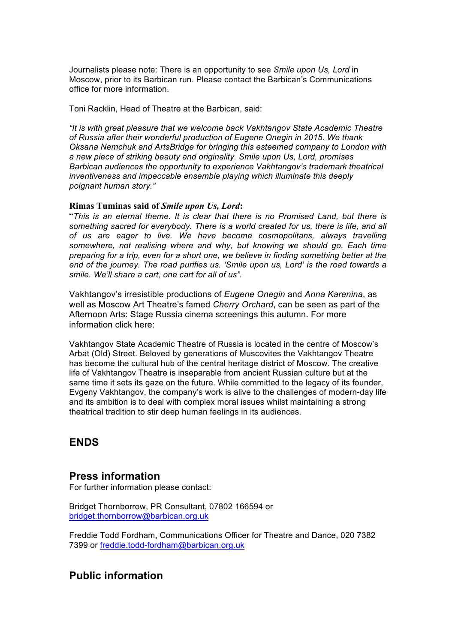Journalists please note: There is an opportunity to see *Smile upon Us, Lord* in Moscow, prior to its Barbican run. Please contact the Barbican's Communications office for more information.

Toni Racklin, Head of Theatre at the Barbican, said:

*"It is with great pleasure that we welcome back Vakhtangov State Academic Theatre of Russia after their wonderful production of Eugene Onegin in 2015. We thank Oksana Nemchuk and ArtsBridge for bringing this esteemed company to London with a new piece of striking beauty and originality. Smile upon Us, Lord, promises Barbican audiences the opportunity to experience Vakhtangov's trademark theatrical inventiveness and impeccable ensemble playing which illuminate this deeply poignant human story."*

#### **Rimas Tuminas said of** *Smile upon Us, Lord***:**

"*This is an eternal theme. It is clear that there is no Promised Land, but there is something sacred for everybody. There is a world created for us, there is life, and all of us are eager to live. We have become cosmopolitans, always travelling somewhere, not realising where and why, but knowing we should go. Each time preparing for a trip, even for a short one, we believe in finding something better at the end of the journey. The road purifies us. 'Smile upon us, Lord' is the road towards a smile. We'll share a cart, one cart for all of us".*

Vakhtangov's irresistible productions of *Eugene Onegin* and *Anna Karenina*, as well as Moscow Art Theatre's famed *Cherry Orchard*, can be seen as part of the Afternoon Arts: Stage Russia cinema screenings this autumn. For more information click here:

Vakhtangov State Academic Theatre of Russia is located in the centre of Moscow's Arbat (Old) Street. Beloved by generations of Muscovites the Vakhtangov Theatre has become the cultural hub of the central heritage district of Moscow. The creative life of Vakhtangov Theatre is inseparable from ancient Russian culture but at the same time it sets its gaze on the future. While committed to the legacy of its founder, Evgeny Vakhtangov, the company's work is alive to the challenges of modern-day life and its ambition is to deal with complex moral issues whilst maintaining a strong theatrical tradition to stir deep human feelings in its audiences.

# **ENDS**

### **Press information**

For further information please contact:

Bridget Thornborrow, PR Consultant, 07802 166594 or bridget.thornborrow@barbican.org.uk

Freddie Todd Fordham, Communications Officer for Theatre and Dance, 020 7382 7399 or freddie.todd-fordham@barbican.org.uk

## **Public information**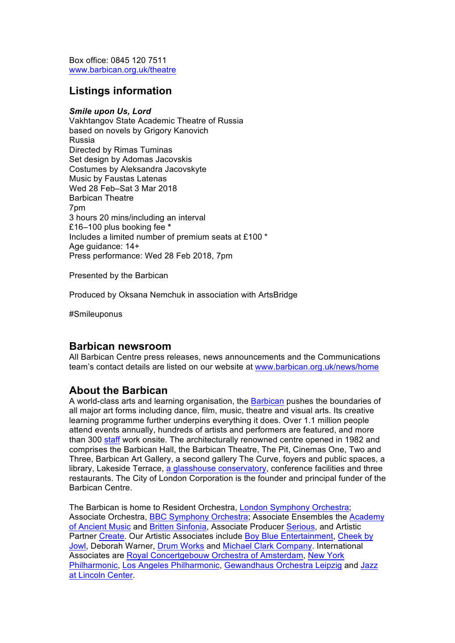Box office: 0845 120 7511 www.barbican.org.uk/theatre

# **Listings information**

#### *Smile upon Us, Lord*

Vakhtangov State Academic Theatre of Russia based on novels by Grigory Kanovich Russia Directed by Rimas Tuminas Set design by Adomas Jacovskis Costumes by Aleksandra Jacovskyte Music by Faustas Latenas Wed 28 Feb–Sat 3 Mar 2018 Barbican Theatre 7pm 3 hours 20 mins/including an interval £16–100 plus booking fee **\*** Includes a limited number of premium seats at £100 \* Age guidance: 14+ Press performance: Wed 28 Feb 2018, 7pm

Presented by the Barbican

Produced by Oksana Nemchuk in association with ArtsBridge

#Smileuponus

### **Barbican newsroom**

All Barbican Centre press releases, news announcements and the Communications team's contact details are listed on our website at www.barbican.org.uk/news/home

## **About the Barbican**

A world-class arts and learning organisation, the Barbican pushes the boundaries of all major art forms including dance, film, music, theatre and visual arts. Its creative learning programme further underpins everything it does. Over 1.1 million people attend events annually, hundreds of artists and performers are featured, and more than 300 staff work onsite. The architecturally renowned centre opened in 1982 and comprises the Barbican Hall, the Barbican Theatre, The Pit, Cinemas One, Two and Three, Barbican Art Gallery, a second gallery The Curve, foyers and public spaces, a library, Lakeside Terrace, a glasshouse conservatory, conference facilities and three restaurants. The City of London Corporation is the founder and principal funder of the Barbican Centre.

The Barbican is home to Resident Orchestra, London Symphony Orchestra; Associate Orchestra, BBC Symphony Orchestra; Associate Ensembles the Academy of Ancient Music and Britten Sinfonia, Associate Producer Serious, and Artistic Partner Create. Our Artistic Associates include Boy Blue Entertainment, Cheek by Jowl, Deborah Warner, Drum Works and Michael Clark Company. International Associates are Royal Concertgebouw Orchestra of Amsterdam, New York Philharmonic, Los Angeles Philharmonic, Gewandhaus Orchestra Leipzig and Jazz at Lincoln Center.